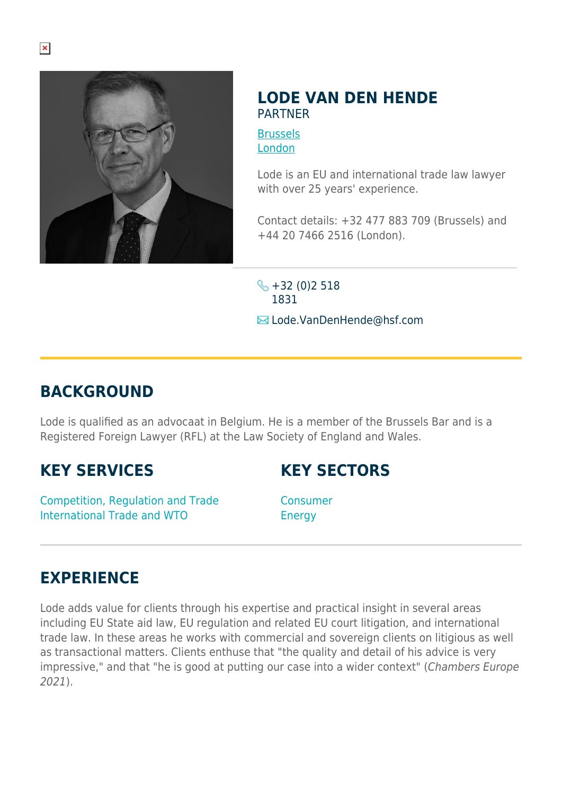

## **LODE VAN DEN HENDE** PARTNER

**[Brussels](https://www.herbertsmithfreehills.com/lang-zh-hans/where-we-work/brussels)** [London](https://www.herbertsmithfreehills.com/lang-zh-hans/where-we-work/london)

Lode is an EU and international trade law lawyer with over 25 years' experience.

Contact details: +32 477 883 709 (Brussels) and +44 20 7466 2516 (London).

 $\frac{1}{2}$  +32 (0)2 518 1831 **E**Lode.VanDenHende@hsf.com

## **BACKGROUND**

Lode is qualified as an advocaat in Belgium. He is a member of the Brussels Bar and is a Registered Foreign Lawyer (RFL) at the Law Society of England and Wales.

## **KEY SERVICES**

**KEY SECTORS**

Competition, Regulation and Trade International Trade and WTO

Consumer **Energy** 

## **EXPERIENCE**

Lode adds value for clients through his expertise and practical insight in several areas including EU State aid law, EU regulation and related EU court litigation, and international trade law. In these areas he works with commercial and sovereign clients on litigious as well as transactional matters. Clients enthuse that "the quality and detail of his advice is very impressive," and that "he is good at putting our case into a wider context" (Chambers Europe 2021).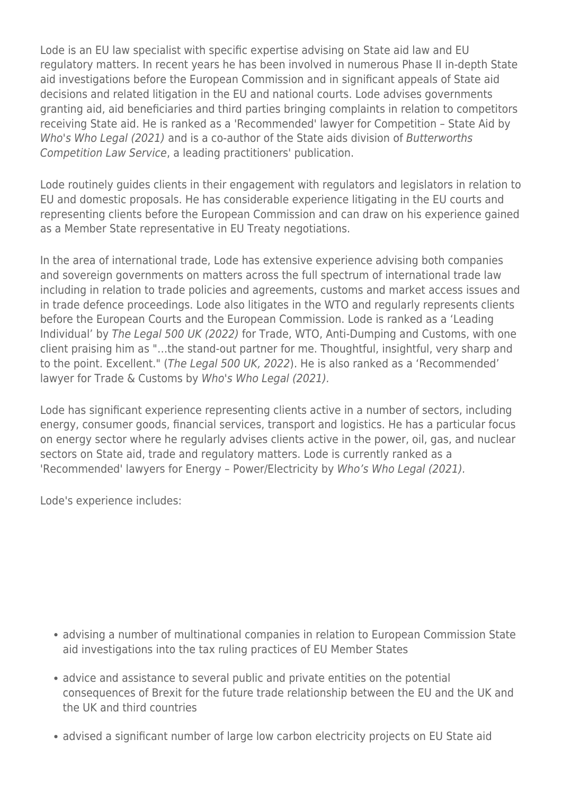Lode is an EU law specialist with specific expertise advising on State aid law and EU regulatory matters. In recent years he has been involved in numerous Phase II in-depth State aid investigations before the European Commission and in significant appeals of State aid decisions and related litigation in the EU and national courts. Lode advises governments granting aid, aid beneficiaries and third parties bringing complaints in relation to competitors receiving State aid. He is ranked as a 'Recommended' lawyer for Competition – State Aid by Who's Who Legal (2021) and is a co-author of the State aids division of Butterworths Competition Law Service, a leading practitioners' publication.

Lode routinely guides clients in their engagement with regulators and legislators in relation to EU and domestic proposals. He has considerable experience litigating in the EU courts and representing clients before the European Commission and can draw on his experience gained as a Member State representative in EU Treaty negotiations.

In the area of international trade, Lode has extensive experience advising both companies and sovereign governments on matters across the full spectrum of international trade law including in relation to trade policies and agreements, customs and market access issues and in trade defence proceedings. Lode also litigates in the WTO and regularly represents clients before the European Courts and the European Commission. Lode is ranked as a 'Leading Individual' by The Legal 500 UK (2022) for Trade, WTO, Anti-Dumping and Customs, with one client praising him as "…the stand-out partner for me. Thoughtful, insightful, very sharp and to the point. Excellent." (The Legal 500 UK, 2022). He is also ranked as a 'Recommended' lawyer for Trade & Customs by Who's Who Legal (2021).

Lode has significant experience representing clients active in a number of sectors, including energy, consumer goods, financial services, transport and logistics. He has a particular focus on energy sector where he regularly advises clients active in the power, oil, gas, and nuclear sectors on State aid, trade and regulatory matters. Lode is currently ranked as a 'Recommended' lawyers for Energy – Power/Electricity by Who's Who Legal (2021).

Lode's experience includes:

- advising a number of multinational companies in relation to European Commission State aid investigations into the tax ruling practices of EU Member States
- advice and assistance to several public and private entities on the potential consequences of Brexit for the future trade relationship between the EU and the UK and the UK and third countries
- advised a significant number of large low carbon electricity projects on EU State aid